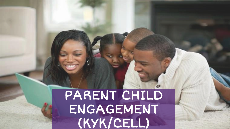# PARENT CHILD ENGAGEMENT (KYK/CELL)